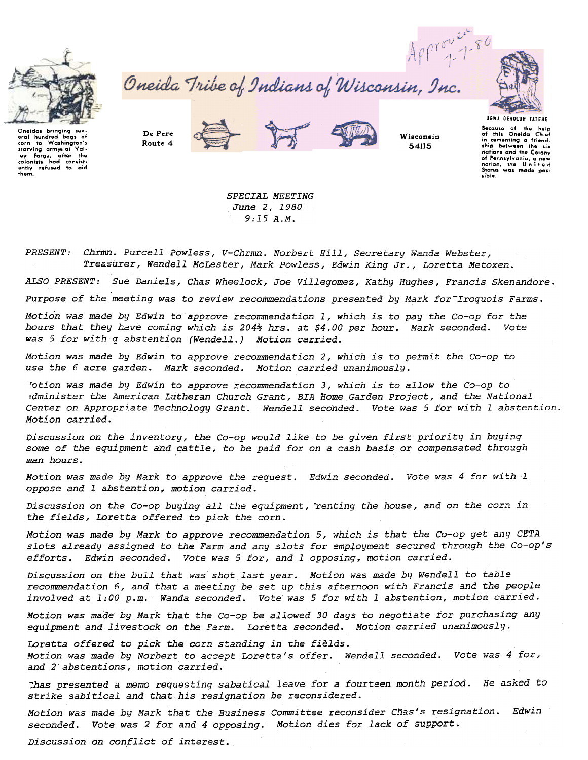

oneidas bringing sev-<br>eral hundred bags of

starving army at Val-

colonists had consist-<br>ently refused to aid

thom.

Oneida Tribe of Indians of Wisconsin, Inc.







Wisconsin 54115

**UGWA DENOLUN YATENE** Because of the help<br>of this Oneida Chief in comenting a friend. ship between the **six** nations and the Colony of Pennsylvania, a new sible.

De Pere Route 4





SPECIAL MEETING June 2, 1980  $9:15A.M.$ 

PRESENT: Chrmn. Purcell Powless, V-Chrmn. Norbert Hill, Secretary Wanda Webster, Treasurer, Wendell McLester, Mark Powless, Edwin King Jr., Loretta Metoxen.

ALSO PRESENT: Sue Daniels, Chas Wheelock, Joe Villegomez, Kathy Hughes, Francis Skenandore.

Purpose of the meeting was to review recommendations presented by Mark for Iroquois Farms.

Motion was made by Edwin to approve recommendation 1, which is to pay the Co-op for the hours that they have coming which is 2044 hrs. at \$4.00 per hour. Mark seconded. Vote was 5 for with q abstention (Wendell.) Motion carried.

Motion was made by Edwin to approve recommendation 2, which is to permit the Co-op to use the 6 acre garden. Mark seconded. Motion carried unanimously.

'otion was made by Edwin to approve recommendation 3, which is to allow the Co-op to idminister the American Lutheran Church Grant, BIA Home Garden Project, and the National Center on Appropriate Technology Grant. Wendell seconded. Vote was 5 for with 1 abstention. Motion carried.

Discussion on the inventory, the Co-op would like to be given first priority in buying some of the equipment and cattle, to be paid for on a cash basis or compensated through man hours.

Motion was made by Mark to approve the request. Edwin seconded. Vote was 4 for with 1 oppose and 1 abstention, motion carried.

Discussion on the Co-op buying all the equipment, renting the house, and on the corn in the fields, Loretta offered to pick the corn.

Motion was made by Mark to approve recommendation 5, which is that the Co-op get any CETA slots already assigned to the Farm and any slots for employment secured through the Co-op's efforts. Edwin seconded. Vote was 5 for, and 1 opposing, motion carried.

Discussion on the bull that was shot last year. Motion was made by Wendell to table recommendation 6, and that a meeting be set up this afternoon with Francis and the people involved at 1:00 p.m. Wanda seconded. Vote was 5 for with 1 abstention, motion carried.

Motion was made by Mark that the Co-op be allowed 30 days to negotiate for purchasing any equipment and livestock on the Farm. Loretta seconded. Motion carried unanimously.

Loretta offered to pick the corn standing in the fields. Motion was made by Norbert to accept Loretta's offer. Wendell seconded. Vote was 4 for, and 2 abstentions, motion carried.

Thas presented a memo requesting sabatical leave for a fourteen month period. He asked to strike sabitical and that his resignation be reconsidered.

Motion was made by Mark that the Business Committee reconsider Chas's resignation. Edwin seconded. Vote was 2 for and 4 opposing. Motion dies for lack of support.

Discussion on conflict of interest.